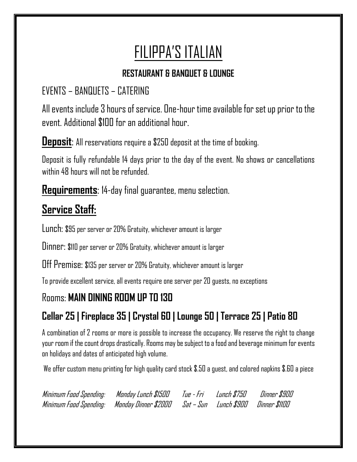# FILIPPA'S ITALIAN

## **RESTAURANT & BANQUET & LOUNGE**

# EVENTS – BANQUETS – CATERING

All events include 3 hours of service. One-hour time available for set up prior to the event. Additional \$100 for an additional hour.

**Deposit**: All reservations require a \$250 deposit at the time of booking.

Deposit is fully refundable 14 days prior to the day of the event. No shows or cancellations within 48 hours will not be refunded

**Requirements**: 14-day final guarantee, menu selection.

# **Service Staff:**

Lunch: \$95 per server or 20% Gratuity, whichever amount is larger

Dinner: \$110 per server or 20% Gratuity, whichever amount is larger

Off Premise: \$135 per server or 20% Gratuity, whichever amount is larger

To provide excellent service, all events require one server per 20 guests, no exceptions

## Rooms: **MAIN DINING ROOM UP TO 130**

# **Cellar 25 | Fireplace 35 | Crystal 60 | Lounge 50 | Terrace 25 | Patio 80**

A combination of 2 rooms or more is possible to increase the occupancy. We reserve the right to change your room if the count drops drastically. Rooms may be subject to a food and beverage minimum for events on holidays and dates of anticipated high volume.

We offer custom menu printing for high quality card stock \$.50 a guest, and colored napkins \$.60 a piece

| Minimum Food Spending:       Monday Lunch \$1500        Tue - Fri       Lunch \$750               |  | Dinner \$900 |
|---------------------------------------------------------------------------------------------------|--|--------------|
| Minimum Food Spending:     Monday Dinner \$2000       Sat – Sun     Lunch \$900     Dinner \$1100 |  |              |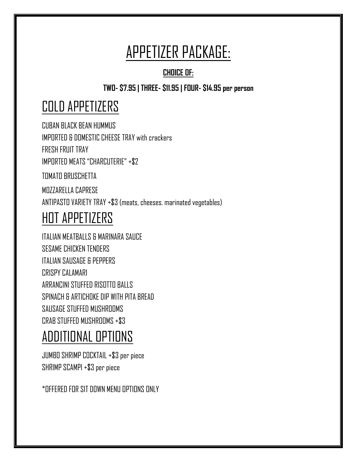# APPETIZER PACKAGE:

### **CHOICE OF:**

#### **TWO- \$7.95 | THREE- \$11.95 | FOUR- \$14.95 per person**

# COLD APPETIZERS

CUBAN BLACK BEAN HUMMUS IMPORTED & DOMESTIC CHEESE TRAY with crackers FRESH FRUIT TRAY IMPORTED MEATS "[CHARCUTERIE](https://picky-palate.com/make-the-perfect-charcuterie-board/)" +\$2

TOMATO BRUSCHETTA

MOZZARELLA CAPRESE ANTIPASTO VARIETY TRAY +\$3 (meats, cheeses. marinated vegetables)

# HOT APPETIZERS

ITALIAN MEATBALLS & MARINARA SAUCE SESAME CHICKEN TENDERS ITALIAN SAUSAGE & PEPPERS CRISPY CALAMARI ARRANCINI STUFFED RISOTTO BALLS SPINACH & ARTICHOKE DIP WITH PITA BREAD SAUSAGE STUFFED MUSHROOMS CRAB STUFFED MUSHROOMS +\$3

# ADDITIONAL OPTIONS

JUMBO SHRIMP COCKTAIL +\$3 per piece SHRIMP SCAMPI +\$3 per piece

\*OFFERED FOR SIT DOWN MENU OPTIONS ONLY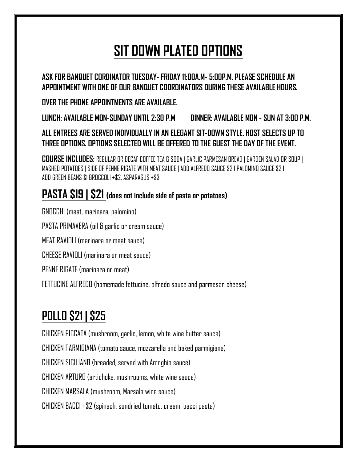# **SIT DOWN PLATED OPTIONS**

**ASK FOR BANQUET CORDINATOR TUESDAY- FRIDAY 11:00A.M- 5:00P.M. PLEASE SCHEDULE AN APPOINTMENT WITH ONE OF OUR BANQUET COORDINATORS DURING THESE AVAILABLE HOURS.** 

**OVER THE PHONE APPOINTMENTS ARE AVAILABLE.** 

**LUNCH: AVAILABLE MON-SUNDAY UNTIL 2:30 P.M DINNER: AVAILABLE MON - SUN AT 3:00 P.M.**

**ALL ENTREES ARE SERVED INDIVIDUALLY IN AN ELEGANT SIT-DOWN STYLE. HOST SELECTS UP TO THREE OPTIONS. OPTIONS SELECTED WILL BE OFFERED TO THE GUEST THE DAY OF THE EVENT.**

**COURSE INCLUDES:** REGULAR OR DECAF COFFEE TEA & SODA | GARLIC PARMESAN BREAD | GARDEN SALAD OR SOUP | MASHED POTATOES | SIDE OF PENNE RIGATE WITH MEAT SAUCE | ADD ALFREDO SAUCE \$2I PALOMINO SAUCE \$2 I ADD GREEN BEANS \$1 BROCCOLI +\$2, ASPARAGUS +\$3

## **PASTA \$19 | \$21 (does not include side of pasta or potatoes)**

GNOCCHI (meat, marinara, palomino) PASTA PRIMAVERA (oil & garlic or cream sauce) MEAT RAVIOLI (marinara or meat sauce) CHEESE RAVIOLI (marinara or meat sauce) PENNE RIGATE (marinara or meat) FETTUCINE ALFREDO (homemade fettucine, alfredo sauce and parmesan cheese)

# **POLLO \$21 | \$25**

CHICKEN PICCATA (mushroom, garlic, lemon, white wine butter sauce) CHICKEN PARMIGIANA (tomato sauce, mozzarella and baked parmigiana) CHICKEN SICILIANO (breaded, served with Amoghio sauce) CHICKEN ARTURO (artichoke, mushrooms, white wine sauce) CHICKEN MARSALA (mushroom, Marsala wine sauce) CHICKEN BACCI +\$2 (spinach, sundried tomato, cream, bacci pasta)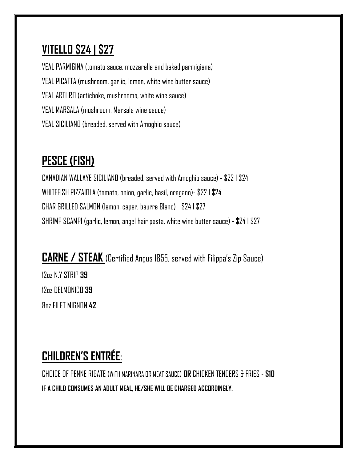# **VITELLO \$24 | \$27**

VEAL PARMIGINA (tomato sauce, mozzarella and baked parmigiana) VEAL PICATTA (mushroom, garlic, lemon, white wine butter sauce) VEAL ARTURO (artichoke, mushrooms, white wine sauce) VEAL MARSALA (mushroom, Marsala wine sauce) VEAL SICILIANO (breaded, served with Amoghio sauce)

# **PESCE (FISH)**

CANADIAN WALLAYE SICILIANO (breaded, served with Amoghio sauce) - \$22 I \$24 WHITEFISH PIZZAIOLA (tomato, onion, garlic, basil, oregano)- \$22 I \$24 CHAR GRILLED SALMON (lemon, caper, beurre Blanc) - \$24 I \$27 SHRIMP SCAMPI (garlic, lemon, angel hair pasta, white wine butter sauce) - \$24 I \$27

**CARNE / STEAK** (Certified Angus 1855, served with Filippa's Zip Sauce) 12oz N.Y STRIP **39** 12oz DELMONICO **39** 8oz FILET MIGNON **42**

# **CHILDREN'S ENTRÉE**:

CHOICE OF PENNE RIGATE (WITH MARINARA OR MEAT SAUCE) **OR** CHICKEN TENDERS & FRIES - **\$10 IF A CHILD CONSUMES AN ADULT MEAL, HE/SHE WILL BE CHARGED ACCORDINGLY.**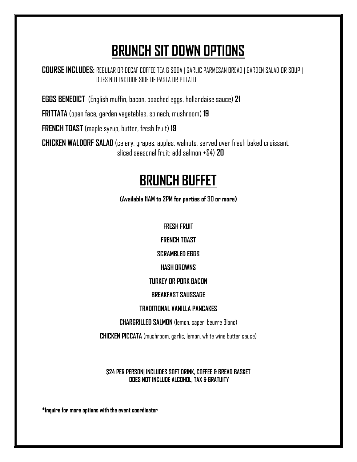# **BRUNCH SIT DOWN OPTIONS**

**COURSE INCLUDES:** REGULAR OR DECAF COFFEE TEA & SODA | GARLIC PARMESAN BREAD | GARDEN SALAD OR SOUP | DOES NOT INCLUDE SIDE OF PASTA OR POTATO

**EGGS BENEDICT** (English muffin, bacon, poached eggs, hollandaise sauce) **21**

**FRITTATA** (open face, garden vegetables, spinach, mushroom) **19**

**FRENCH TOAST** (maple syrup, butter, fresh fruit) **19**

**CHICKEN WALDORF SALAD** (celery, grapes, apples, walnuts, served over fresh baked croissant, sliced seasonal fruit; add salmon +\$4) **20**

# **BRUNCH BUFFET**

**(Available 11AM to 2PM for parties of 30 or more)**

#### **FRESH FRUIT**

**FRENCH TOAST**

#### **SCRAMBLED EGGS**

#### **HASH BROWNS**

#### **TURKEY OR PORK BACON**

#### **BREAKFAST SAUSSAGE**

#### **TRADITIONAL VANILLA PANCAKES**

**CHARGRILLED SALMON** (lemon, caper, beurre Blanc)

**CHICKEN PICCATA** (mushroom, garlic, lemon, white wine butter sauce)

#### **\$24 PER PERSON| INCLUDES SOFT DRINK, COFFEE & BREAD BASKET DOES NOT INCLUDE ALCOHOL, TAX & GRATUITY**

**\*Inquire for more options with the event coordinator**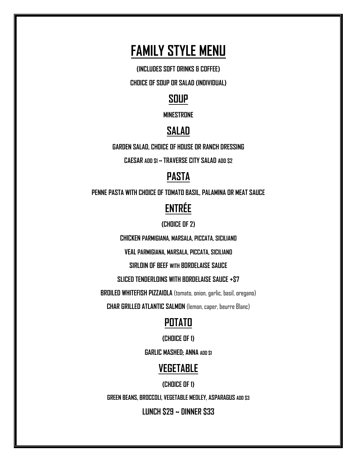# **FAMILY STYLE MENU**

**(INCLUDES SOFT DRINKS & COFFEE)**

**CHOICE OF SOUP OR SALAD (INDIVIDUAL)**

## **SOUP**

**MINESTRONE** 

## **SALAD**

**GARDEN SALAD, CHOICE OF HOUSE OR RANCH DRESSING**

**CAESAR ADD \$1 ~ TRAVERSE CITY SALAD ADD \$2**

## **PASTA**

**PENNE PASTA WITH CHOICE OF TOMATO BASIL, PALAMINA OR MEAT SAUCE**

## **ENTRÉE**

**(CHOICE OF 2)**

**CHICKEN PARMIGIANA, MARSALA, PICCATA, SICILIANO**

**VEAL PARMIGIANA, MARSALA, PICCATA, SICILIANO**

**SIRLOIN OF BEEF WITH BORDELAISE SAUCE**

**SLICED TENDERLOINS WITH BORDELAISE SAUCE +\$7**

**BROILED WHITEFISH PIZZAIOLA** (tomato, onion, garlic, basil, oregano)

**CHAR GRILLED ATLANTIC SALMON** (lemon, caper, beurre Blanc)

### **POTATO**

**(CHOICE OF 1)**

**GARLIC MASHED; ANNA ADD \$1**

## **VEGETABLE**

**(CHOICE OF 1)**

**GREEN BEANS, BROCCOLI, VEGETABLE MEDLEY, ASPARAGUS ADD \$3**

**LUNCH \$29 ~ DINNER \$33**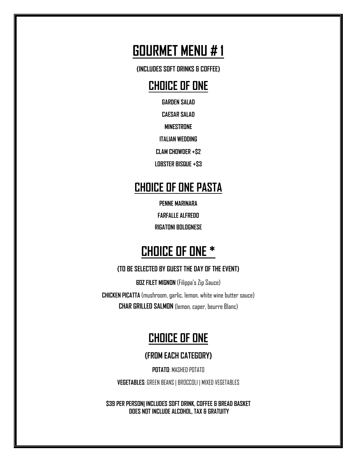**(INCLUDES SOFT DRINKS & COFFEE)**

# **CHOICE OF ONE**

**GARDEN SALAD**

**CAESAR SALAD** 

**MINESTRONE** 

**ITALIAN WEDDING**

**CLAM CHOWDER +\$2**

**LOBSTER BISQUE +\$3**

## **CHOICE OF ONE PASTA**

**PENNE MARINARA FARFALLE ALFREDO RIGATONI BOLOGNESE**

# **CHOICE OF ONE \***

**(TO BE SELECTED BY GUEST THE DAY OF THE EVENT)**

**6OZ FILET MIGNON** (Filippa's Zip Sauce)

**CHICKEN PICATTA** (mushroom, garlic, lemon, white wine butter sauce) **CHAR GRILLED SALMON** (lemon, caper, beurre Blanc)

## **CHOICE OF ONE**

#### **(FROM EACH CATEGORY)**

**POTATO**: MASHED POTATO

**VEGETABLES**: GREEN BEANS | BROCCOLI | MIXED VEGETABLES

**\$39 PER PERSON| INCLUDES SOFT DRINK, COFFEE & BREAD BASKET DOES NOT INCLUDE ALCOHOL, TAX & GRATUITY**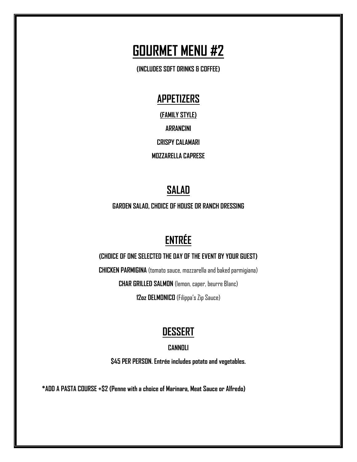**(INCLUDES SOFT DRINKS & COFFEE)**

### **APPETIZERS**

**(FAMILY STYLE) ARRANCINI CRISPY CALAMARI MOZZARELLA CAPRESE**

## **SALAD**

**GARDEN SALAD, CHOICE OF HOUSE OR RANCH DRESSING**

## **ENTRÉE**

**(CHOICE OF ONE SELECTED THE DAY OF THE EVENT BY YOUR GUEST)**

**CHICKEN PARMIGINA** (tomato sauce, mozzarella and baked parmigiana)

**CHAR GRILLED SALMON** (lemon, caper, beurre Blanc)

**12oz DELMONICO** (Filippa's Zip Sauce)

## **DESSERT**

#### **CANNOLI**

**\$45 PER PERSON. Entrée includes potato and vegetables.** 

**\*ADD A PASTA COURSE +\$2 (Penne with a choice of Marinara, Meat Sauce or Alfredo)**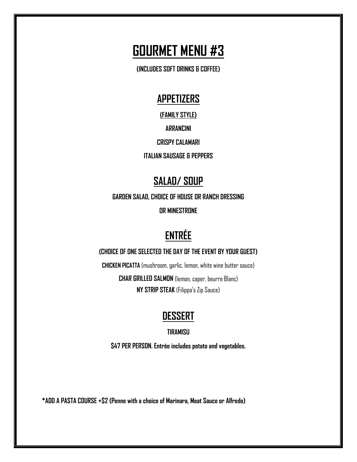**(INCLUDES SOFT DRINKS & COFFEE)**

### **APPETIZERS**

**(FAMILY STYLE)**

**ARRANCINI**

**CRISPY CALAMARI** 

**ITALIAN SAUSAGE & PEPPERS** 

### **SALAD/ SOUP**

**GARDEN SALAD, CHOICE OF HOUSE OR RANCH DRESSING** 

**OR MINESTRONE**

# **ENTRÉE**

#### **(CHOICE OF ONE SELECTED THE DAY OF THE EVENT BY YOUR GUEST)**

**CHICKEN PICATTA** (mushroom, garlic, lemon, white wine butter sauce)

**CHAR GRILLED SALMON** (lemon, caper, beurre Blanc) **NY STRIP STEAK** (Filippa's Zip Sauce)

## **DESSERT**

#### **TIRAMISU**

**\$47 PER PERSON. Entrée includes potato and vegetables.** 

**\*ADD A PASTA COURSE +\$2 (Penne with a choice of Marinara, Meat Sauce or Alfredo)**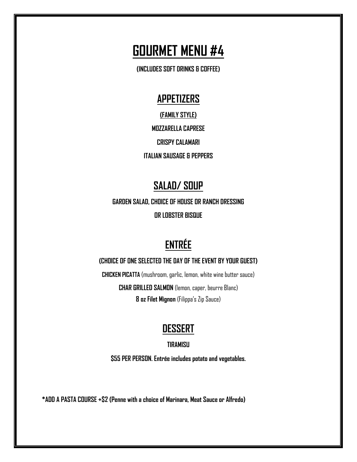**(INCLUDES SOFT DRINKS & COFFEE)**

### **APPETIZERS**

**(FAMILY STYLE) MOZZARELLA CAPRESE CRISPY CALAMARI ITALIAN SAUSAGE & PEPPERS** 

## **SALAD/ SOUP**

**GARDEN SALAD, CHOICE OF HOUSE OR RANCH DRESSING OR LOBSTER BISQUE** 

## **ENTRÉE**

#### **(CHOICE OF ONE SELECTED THE DAY OF THE EVENT BY YOUR GUEST)**

**CHICKEN PICATTA** (mushroom, garlic, lemon, white wine butter sauce)

**CHAR GRILLED SALMON** (lemon, caper, beurre Blanc) **8 oz Filet Mignon** (Filippa's Zip Sauce)

### **DESSERT**

#### **TIRAMISU**

**\$55 PER PERSON. Entrée includes potato and vegetables.** 

**\*ADD A PASTA COURSE +\$2 (Penne with a choice of Marinara, Meat Sauce or Alfredo)**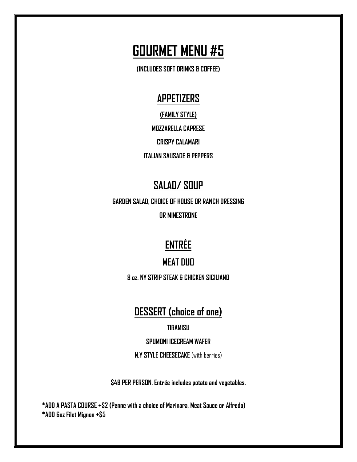**(INCLUDES SOFT DRINKS & COFFEE)**

#### **APPETIZERS**

**(FAMILY STYLE) MOZZARELLA CAPRESE CRISPY CALAMARI ITALIAN SAUSAGE & PEPPERS** 

## **SALAD/ SOUP**

**GARDEN SALAD, CHOICE OF HOUSE OR RANCH DRESSING** 

**OR MINESTRONE**

# **ENTRÉE**

#### **MEAT DUO**

**8 oz. NY STRIP STEAK & CHICKEN SICILIANO**

**DESSERT (choice of one)**

#### **TIRAMISU**

#### **SPUMONI ICECREAM WAFER**

**N.Y STYLE CHEESECAKE** (with berries)

**\$49 PER PERSON. Entrée includes potato and vegetables.** 

**\*ADD A PASTA COURSE +\$2 (Penne with a choice of Marinara, Meat Sauce or Alfredo) \*ADD 6oz Filet Mignon +\$5**